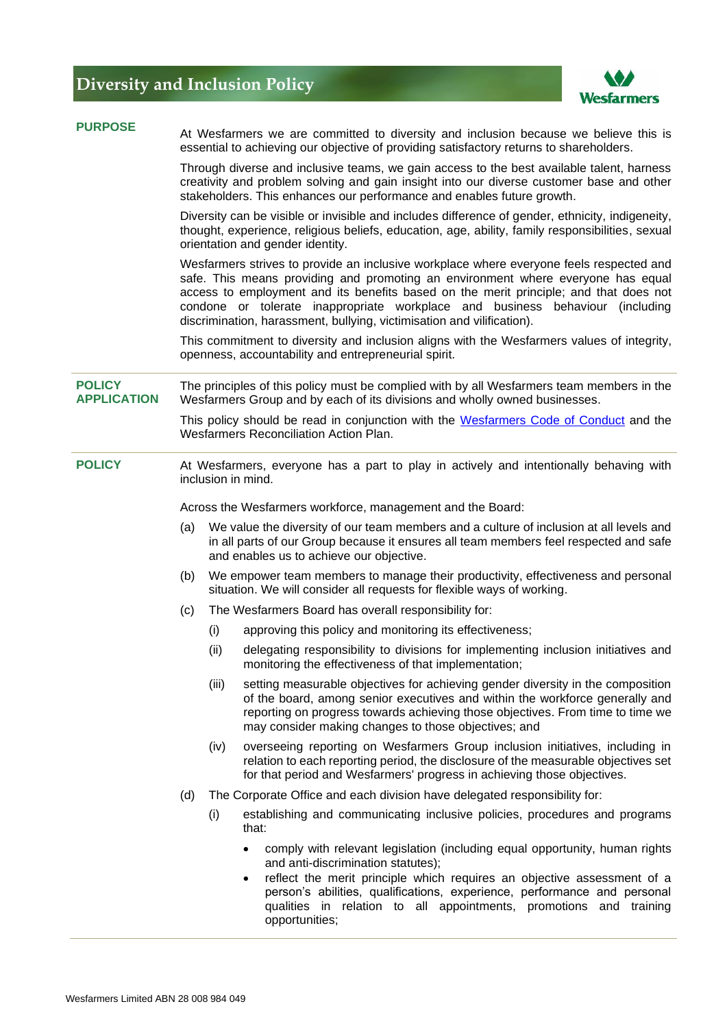## **Diversity and Inclusion Policy**



| <b>PURPOSE</b>                      | At Wesfarmers we are committed to diversity and inclusion because we believe this is<br>essential to achieving our objective of providing satisfactory returns to shareholders.                                                                                                                                                                                                                                                 |                                                                           |                                                                                                                                                                                                                                                                                                                                                                                            |  |
|-------------------------------------|---------------------------------------------------------------------------------------------------------------------------------------------------------------------------------------------------------------------------------------------------------------------------------------------------------------------------------------------------------------------------------------------------------------------------------|---------------------------------------------------------------------------|--------------------------------------------------------------------------------------------------------------------------------------------------------------------------------------------------------------------------------------------------------------------------------------------------------------------------------------------------------------------------------------------|--|
|                                     | Through diverse and inclusive teams, we gain access to the best available talent, harness<br>creativity and problem solving and gain insight into our diverse customer base and other<br>stakeholders. This enhances our performance and enables future growth.                                                                                                                                                                 |                                                                           |                                                                                                                                                                                                                                                                                                                                                                                            |  |
|                                     | Diversity can be visible or invisible and includes difference of gender, ethnicity, indigeneity,<br>thought, experience, religious beliefs, education, age, ability, family responsibilities, sexual<br>orientation and gender identity.                                                                                                                                                                                        |                                                                           |                                                                                                                                                                                                                                                                                                                                                                                            |  |
|                                     | Wesfarmers strives to provide an inclusive workplace where everyone feels respected and<br>safe. This means providing and promoting an environment where everyone has equal<br>access to employment and its benefits based on the merit principle; and that does not<br>condone or tolerate inappropriate workplace and business behaviour (including<br>discrimination, harassment, bullying, victimisation and vilification). |                                                                           |                                                                                                                                                                                                                                                                                                                                                                                            |  |
|                                     | This commitment to diversity and inclusion aligns with the Wesfarmers values of integrity,<br>openness, accountability and entrepreneurial spirit.                                                                                                                                                                                                                                                                              |                                                                           |                                                                                                                                                                                                                                                                                                                                                                                            |  |
| <b>POLICY</b><br><b>APPLICATION</b> | The principles of this policy must be complied with by all Wesfarmers team members in the<br>Wesfarmers Group and by each of its divisions and wholly owned businesses.<br>This policy should be read in conjunction with the Wesfarmers Code of Conduct and the<br>Wesfarmers Reconciliation Action Plan.                                                                                                                      |                                                                           |                                                                                                                                                                                                                                                                                                                                                                                            |  |
|                                     |                                                                                                                                                                                                                                                                                                                                                                                                                                 |                                                                           |                                                                                                                                                                                                                                                                                                                                                                                            |  |
| <b>POLICY</b>                       | At Wesfarmers, everyone has a part to play in actively and intentionally behaving with<br>inclusion in mind.                                                                                                                                                                                                                                                                                                                    |                                                                           |                                                                                                                                                                                                                                                                                                                                                                                            |  |
|                                     | Across the Wesfarmers workforce, management and the Board:                                                                                                                                                                                                                                                                                                                                                                      |                                                                           |                                                                                                                                                                                                                                                                                                                                                                                            |  |
|                                     | We value the diversity of our team members and a culture of inclusion at all levels and<br>(a)<br>in all parts of our Group because it ensures all team members feel respected and safe<br>and enables us to achieve our objective.                                                                                                                                                                                             |                                                                           |                                                                                                                                                                                                                                                                                                                                                                                            |  |
|                                     | (b)<br>situation. We will consider all requests for flexible ways of working.                                                                                                                                                                                                                                                                                                                                                   |                                                                           | We empower team members to manage their productivity, effectiveness and personal                                                                                                                                                                                                                                                                                                           |  |
|                                     | (c)                                                                                                                                                                                                                                                                                                                                                                                                                             | The Wesfarmers Board has overall responsibility for:                      |                                                                                                                                                                                                                                                                                                                                                                                            |  |
|                                     |                                                                                                                                                                                                                                                                                                                                                                                                                                 | (i)                                                                       | approving this policy and monitoring its effectiveness;                                                                                                                                                                                                                                                                                                                                    |  |
|                                     |                                                                                                                                                                                                                                                                                                                                                                                                                                 | (ii)                                                                      | delegating responsibility to divisions for implementing inclusion initiatives and<br>monitoring the effectiveness of that implementation;                                                                                                                                                                                                                                                  |  |
|                                     |                                                                                                                                                                                                                                                                                                                                                                                                                                 | (iii)                                                                     | setting measurable objectives for achieving gender diversity in the composition<br>of the board, among senior executives and within the workforce generally and<br>reporting on progress towards achieving those objectives. From time to time we<br>may consider making changes to those objectives; and                                                                                  |  |
|                                     |                                                                                                                                                                                                                                                                                                                                                                                                                                 | (iv)                                                                      | overseeing reporting on Wesfarmers Group inclusion initiatives, including in<br>relation to each reporting period, the disclosure of the measurable objectives set<br>for that period and Wesfarmers' progress in achieving those objectives.                                                                                                                                              |  |
|                                     | (d)                                                                                                                                                                                                                                                                                                                                                                                                                             | The Corporate Office and each division have delegated responsibility for: |                                                                                                                                                                                                                                                                                                                                                                                            |  |
|                                     |                                                                                                                                                                                                                                                                                                                                                                                                                                 | (i)                                                                       | establishing and communicating inclusive policies, procedures and programs<br>that:                                                                                                                                                                                                                                                                                                        |  |
|                                     |                                                                                                                                                                                                                                                                                                                                                                                                                                 |                                                                           | comply with relevant legislation (including equal opportunity, human rights<br>$\bullet$<br>and anti-discrimination statutes);<br>reflect the merit principle which requires an objective assessment of a<br>$\bullet$<br>person's abilities, qualifications, experience, performance and personal<br>qualities in relation to all appointments, promotions and training<br>opportunities; |  |